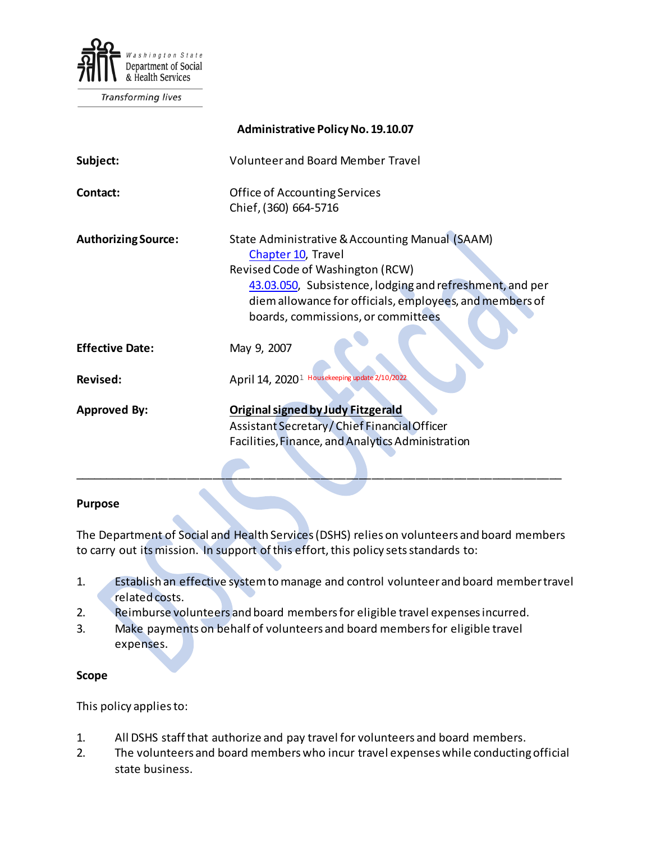

Transforming lives

| <b>Administrative Policy No. 19.10.07</b> |                                                                                                                                                                                                                                                                        |
|-------------------------------------------|------------------------------------------------------------------------------------------------------------------------------------------------------------------------------------------------------------------------------------------------------------------------|
| Subject:                                  | <b>Volunteer and Board Member Travel</b>                                                                                                                                                                                                                               |
| Contact:                                  | Office of Accounting Services<br>Chief, (360) 664-5716                                                                                                                                                                                                                 |
| <b>Authorizing Source:</b>                | State Administrative & Accounting Manual (SAAM)<br>Chapter 10, Travel<br>Revised Code of Washington (RCW)<br>43.03.050, Subsistence, lodging and refreshment, and per<br>diem allowance for officials, employees, and members of<br>boards, commissions, or committees |
| <b>Effective Date:</b>                    | May 9, 2007                                                                                                                                                                                                                                                            |
| <b>Revised:</b>                           | April 14, 2020 <sup>1</sup> Housekeeping update 2/10/2022                                                                                                                                                                                                              |
| <b>Approved By:</b>                       | <b>Original signed by Judy Fitzgerald</b><br>Assistant Secretary / Chief Financial Officer<br>Facilities, Finance, and Analytics Administration                                                                                                                        |

#### **Purpose**

The Department of Social and Health Services (DSHS) relies on volunteers and board members to carry out its mission. In support of this effort, this policy sets standards to:

\_\_\_\_\_\_\_\_\_\_\_\_\_\_\_\_\_\_\_\_\_\_\_\_\_\_\_\_\_\_\_\_\_\_\_\_\_\_\_\_\_\_\_\_\_\_\_\_\_\_\_\_\_\_\_\_\_\_\_\_\_\_\_\_\_\_\_\_\_\_\_\_\_\_\_\_\_

- 1. Establish an effective system to manage and control volunteer and board member travel related costs.
- 2. Reimburse volunteers and board members for eligible travel expenses incurred.
- 3. Make payments on behalf of volunteers and board members for eligible travel expenses.

## **Scope**

This policy applies to:

- 1. All DSHS staff that authorize and pay travel for volunteers and board members.
- 2. The volunteers and board members who incur travel expenseswhile conducting official state business.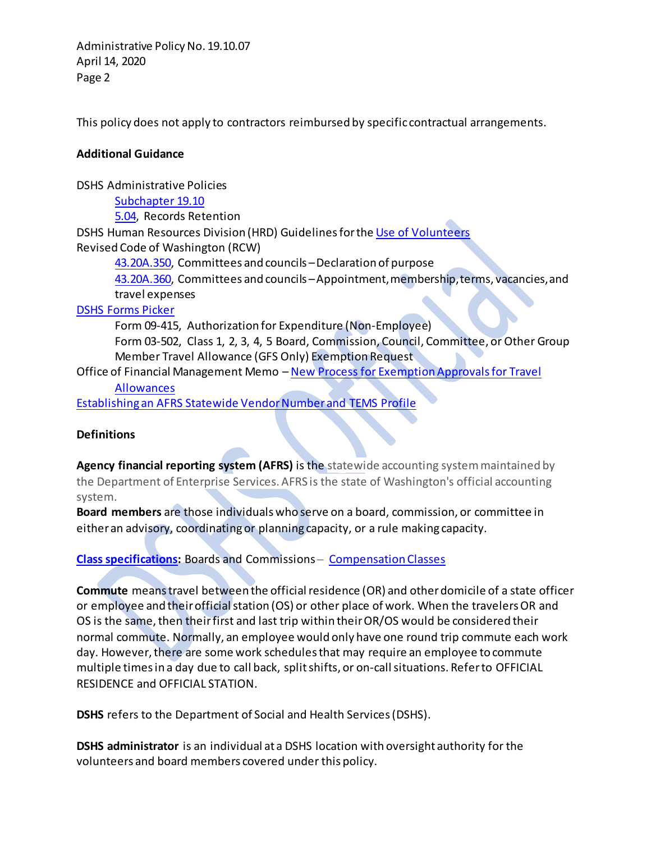Administrative Policy No. 19.10.07 April 14, 2020 Page 2

This policy does not apply to contractors reimbursed by specific contractual arrangements.

## **Additional Guidance**

DSHS Administrative Policies

[Subchapter 19.10](http://one.dshs.wa.lcl/Policies/Pages/default.aspx) [5.04,](http://one.dshs.wa.lcl/Policies/Administrative/DSHS-AP-05-04.pdf) Records Retention DSHS Human Resources Division (HRD) Guidelines for th[e Use of Volunteers](http://one.dshs.wa.lcl/HR/Guidelines/Use%20of%20Volunteers.pdf)

Revised Code of Washington (RCW)

[43.20A.350,](http://app.leg.wa.gov/RCW/default.aspx?cite=43.20A.350) Committees and councils –Declaration of purpose

[43.20A.360,](http://app.leg.wa.gov/RCW/default.aspx?cite=43.20A.360) Committees and councils –Appointment, membership, terms, vacancies, and travel expenses

## [DSHS Forms Picker](http://forms.dshs.wa.lcl/)

Form 09-415, Authorization for Expenditure (Non-Employee) Form 03-502, Class 1, 2, 3, 4, 5 Board, Commission, Council, Committee, or Other Group Member Travel Allowance (GFS Only) Exemption Request

Office of Financial Management Memo – [New Process for Exemption Approvals for Travel](http://one.dshs.wa.lcl/FS/Fiscal/Accounting/Travel/Documents/Forms/AllItems.aspx) 

## **[Allowances](http://one.dshs.wa.lcl/FS/Fiscal/Accounting/Travel/Documents/Forms/AllItems.aspx)**

[Establishing an AFRS Statewide Vendor Number and TEMS Profile](http://one.dshs.wa.lcl/FS/Fiscal/Accounting/Travel/Volunteers/Forms/AllItems.aspx)

# **Definitions**

**Agency financial reporting system (AFRS)** is the statewide accounting system maintained by the Department of Enterprise Services. AFRS is the state of Washington's official accounting system.

**Board members** are those individuals who serve on a board, commission, or committee in either an advisory, coordinating or planning capacity, or a rule making capacity.

# **[Class specifications:](http://one.dshs.wa.lcl/FS/Fiscal/Accounting/Travel/Documents/Forms/AllItems.aspx)** Boards and Commissions – [Compensation](https://gcc02.safelinks.protection.outlook.com/?url=http%3A%2F%2Fone.dshs.wa.lcl%2FFS%2FFiscal%2FAccounting%2FTravel%2FDocuments%2FBoards%2520and%2520Commissions%2520Classes.docx&data=04%7C01%7Cangel.pele%40dshs.wa.gov%7C0e07274ace0848fdd38e08d9e1164dd5%7C11d0e217264e400a8ba057dcc127d72d%7C0%7C0%7C637788308339401434%7CUnknown%7CTWFpbGZsb3d8eyJWIjoiMC4wLjAwMDAiLCJQIjoiV2luMzIiLCJBTiI6Ik1haWwiLCJXVCI6Mn0%3D%7C3000&sdata=xZySwQl9uZmX0QE1tYYl%2BOhVKMn0jp5nnD%2F3mI%2BwpIk%3D&reserved=0) Classes

**Commute** means travel between the official residence (OR) and other domicile of a state officer or employee and their official station (OS) or other place of work. When the travelers OR and OS is the same, then their first and last trip within their OR/OS would be considered their normal commute. Normally, an employee would only have one round trip commute each work day. However, there are some work schedules that may require an employee to commute multiple times in a day due to call back, splitshifts, or on-call situations. Refer to OFFICIAL RESIDENCE and OFFICIAL STATION.

**DSHS** refers to the Department of Social and Health Services (DSHS).

**DSHS administrator** is an individual at a DSHS location with oversight authority for the volunteers and board members covered under this policy.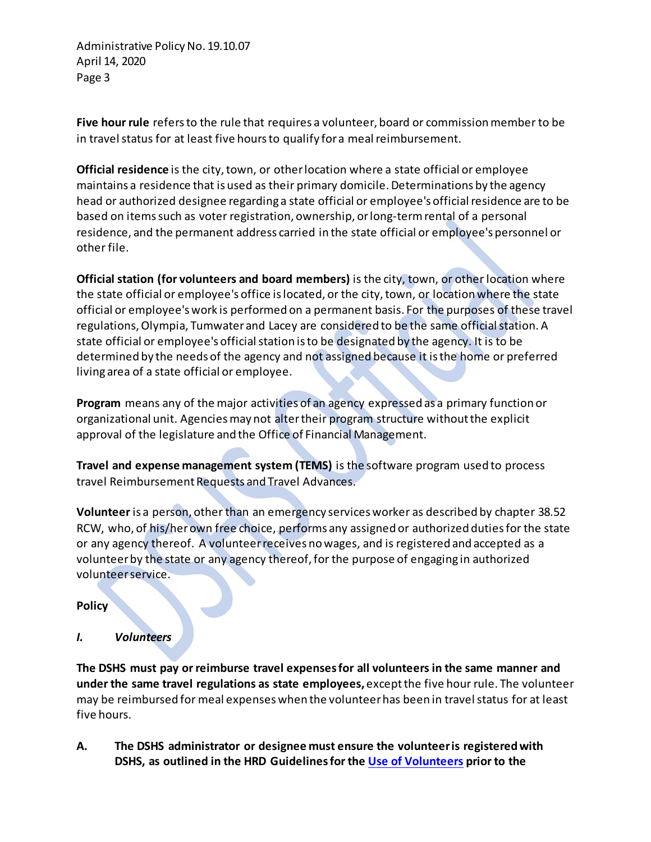Administrative Policy No. 19.10.07 April 14, 2020 Page 3

**Five hour rule** refers to the rule that requires a volunteer, board or commission member to be in travel status for at least five hours to qualify for a meal reimbursement.

**Official residence** is the city, town, or other location where a state official or employee maintains a residence that is used as their primary domicile. Determinations by the agency head or authorized designee regarding a state official or employee's official residence are to be based on items such as voter registration, ownership, or long-term rental of a personal residence, and the permanent address carried in the state official or employee's personnel or other file.

**Official station (for volunteers and board members)** is the city, town, or other location where the state official or employee's office is located, or the city, town, or location where the state official or employee's work is performed on a permanent basis. For the purposes of these travel regulations, Olympia, Tumwater and Lacey are considered to be the same official station. A state official or employee's official station is to be designated by the agency. It is to be determined by the needs of the agency and not assigned because it is the home or preferred living area of a state official or employee.

**Program** means any of the major activities of an agency expressed as a primary function or organizational unit. Agencies may not alter their program structure without the explicit approval of the legislature and the Office of Financial Management.

**Travel and expense management system (TEMS)** is the software program used to process travel Reimbursement Requests and Travel Advances.

**Volunteer** is a person, other than an emergency services worker as described by chapter 38.52 RCW, who, of his/her own free choice, performs any assigned or authorized duties for the state or any agency thereof. A volunteer receives no wages, and is registered and accepted as a volunteer by the state or any agency thereof, for the purpose of engaging in authorized volunteer service.

# **Policy**

*I. Volunteers*

**The DSHS must pay or reimburse travel expenses for all volunteers in the same manner and under the same travel regulations as state employees,** except the five hour rule. The volunteer may be reimbursed for meal expenses when the volunteerhas been in travel status for at least five hours.

**A. The DSHS administrator or designee must ensure the volunteer is registered with DSHS, as outlined in the HRD Guidelines for the [Use of Volunteers](http://one.dshs.wa.lcl/HR/Guidelines/Use%20of%20Volunteers.pdf) prior to the**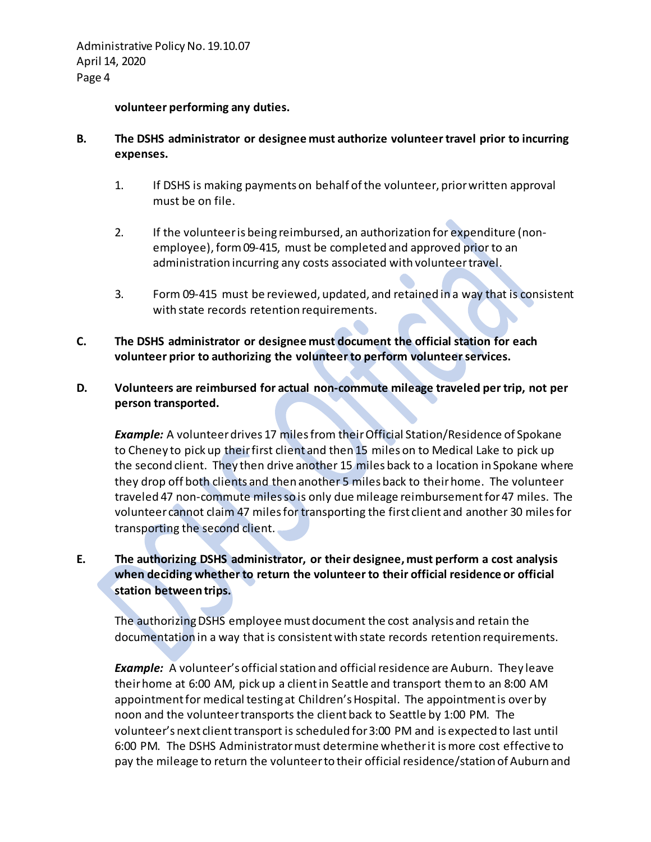#### **volunteer performing any duties.**

## **B. The DSHS administrator or designee must authorize volunteer travel prior to incurring expenses.**

- 1. If DSHS is making payments on behalf of the volunteer, prior written approval must be on file.
- 2. If the volunteer is being reimbursed, an authorization for expenditure (nonemployee)[, form 09-415,](http://forms.dshs.wa.lcl/formDetails.aspx?ID=5918) must be completed and approved prior to an administration incurring any costs associated with volunteer travel.
- 3. [Form 09-415](http://forms.dshs.wa.lcl/formDetails.aspx?ID=5918) must be reviewed, updated, and retained in a way that is consistent with state records retention requirements.
- **C. The DSHS administrator or designee must document the official station for each volunteer prior to authorizing the volunteer to perform volunteer services.**

## **D. Volunteers are reimbursed for actual non-commute mileage traveled per trip, not per person transported.**

*Example:* A volunteer drives 17 miles from their Official Station/Residence of Spokane to Cheney to pick up theirfirst client and then 15 miles on to Medical Lake to pick up the second client. They then drive another 15 miles back to a location in Spokane where they drop off both clients and then another 5 miles back to their home. The volunteer traveled 47 non-commute miles so is only due mileage reimbursement for 47 miles. The volunteer cannot claim 47 miles for transporting the first client and another 30 miles for transporting the second client.

# **E. The authorizing DSHS administrator, or their designee, must perform a cost analysis when deciding whether to return the volunteer to their official residence or official station between trips.**

The authorizing DSHS employee must document the cost analysis and retain the documentation in a way that is consistent with state records retention requirements.

*Example:* A volunteer's official station and official residence are Auburn. They leave their home at 6:00 AM, pick up a client in Seattle and transport them to an 8:00 AM appointment for medical testing at Children's Hospital. The appointment is over by noon and the volunteer transports the client back to Seattle by 1:00 PM. The volunteer's next client transport is scheduled for 3:00 PM and is expected to last until 6:00 PM. The DSHS Administrator must determine whether it is more cost effective to pay the mileage to return the volunteer to their official residence/station of Auburn and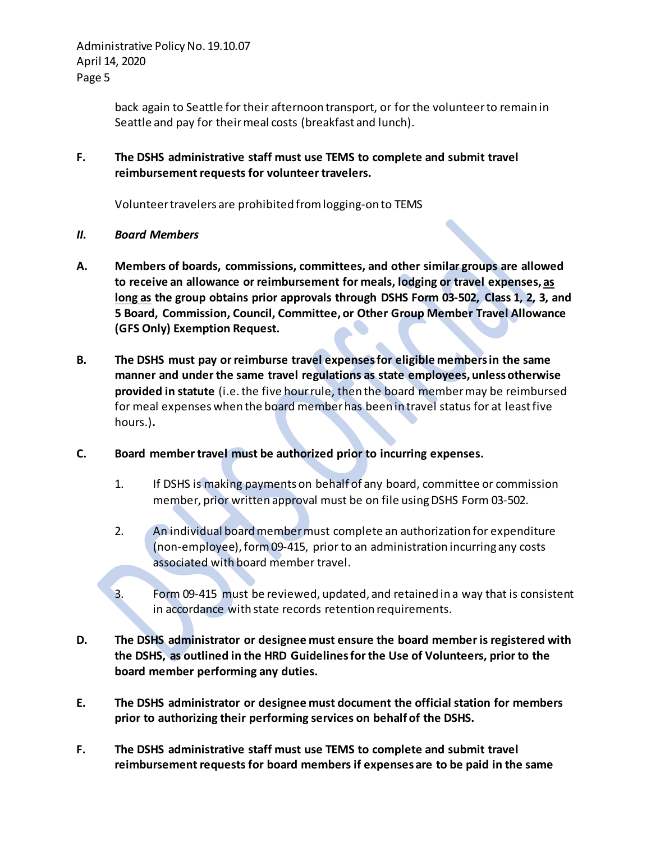Administrative Policy No. 19.10.07 April 14, 2020 Page 5

> back again to Seattle for their afternoon transport, or for the volunteer to remain in Seattle and pay for their meal costs (breakfast and lunch).

**F. The DSHS administrative staff must use TEMS to complete and submit travel reimbursement requests for volunteer travelers.**

Volunteer travelers are prohibited from logging-on to TEMS

- *II. Board Members*
- **A. Members of boards, commissions, committees, and other similar groups are allowed to receive an allowance or reimbursement for meals, lodging or travel expenses, as long as the group obtains prior approvals through DSHS Form 03-502, Class 1, 2, 3, and 5 Board, Commission, Council, Committee, or Other Group Member Travel Allowance (GFS Only) Exemption Request.**
- **B. The DSHS must pay or reimburse travel expenses for eligible members in the same manner and under the same travel regulations as state employees, unless otherwise provided in statute** (i.e.the five hour rule, then the board membermay be reimbursed for meal expenses when the board memberhas been in travel status for at least five hours.)**.**
- **C. Board member travel must be authorized prior to incurring expenses.** 
	- 1. If DSHS is making payments on behalf of any board, committee or commission member, prior written approval must be on file using DSHS Form 03-502.
	- 2. An individual board member must complete an authorization for expenditure (non-employee)[, form 09-415,](http://forms.dshs.wa.lcl/formDetails.aspx?ID=5918) prior to an administration incurring any costs associated with board member travel.
	- 3. [Form 09-415](http://forms.dshs.wa.lcl/formDetails.aspx?ID=5918) must be reviewed, updated, and retained in a way that is consistent in accordance with state records retention requirements.
- **D. The DSHS administrator or designee must ensure the board member is registered with the DSHS, as outlined in the HRD Guidelines for the Use of Volunteers, prior to the board member performing any duties.**
- **E. The DSHS administrator or designee must document the official station for members prior to authorizing their performing services on behalf of the DSHS.**
- **F. The DSHS administrative staff must use TEMS to complete and submit travel reimbursement requests for board members if expenses are to be paid in the same**